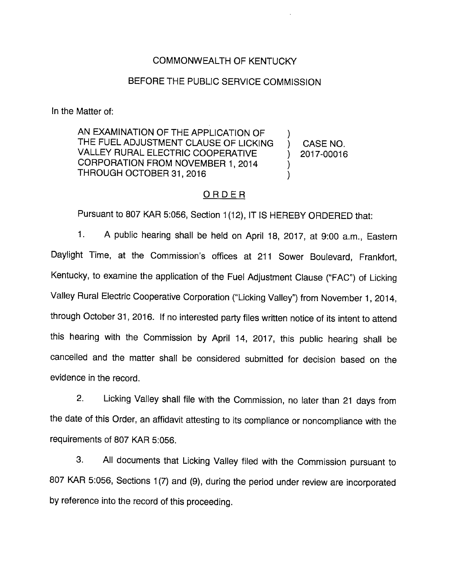## COMMONWEALTH OF KENTUCKY

### BEFORE THE PUBLIC SERVICE COMMISSION

In the Matter of:

AN EXAMINATION OF THE APPLICATION OF AN EXAMINATION OF THE APPLICATION OF  $\qquad$  ) CASE NO. VALLEY RURAL ELECTRIC COOPERATIVE ) 2017-00016 CORPORATION FROM NOVEMBER 1, 2014  $\lambda$ THROUGH OCTOBER 31, 2016

#### ORDER

Pursuant to 807 KAR 5:056, Section 1(12), IT IS HEREBY ORDERED that:

1. A public hearing shall be held on April 18, 2017, at 9:00 a.m.. Eastern Daylight Time, at the Commission's offices at 211 Sower Boulevard, Frankfort, Kentucky, to examine the application of the Fuel Adjustment Clause ("FAC") of Licking Valley Rural Electric Cooperative Corporation ("Licking Valley") from November 1, 2014, through October 31, 2016. If no interested party files written notice of its intent to attend this hearing with the Commission by April 14, 2017, this public hearing shali be cancelled and the matter shall be considered submitted for decision based on the evidence in the record.

2. Licking Valley shall file with the Commission, no later than 21 days from the date of this Order, an affidavit attesting to its compliance or noncompliance with the requirements of 807 KAR 5:056.

3. All documents that Licking Valley filed with the Commission pursuant to 807 KAR 5:056, Sections 1(7) and (9), during the period under review are incorporated by reference into the record of this proceeding.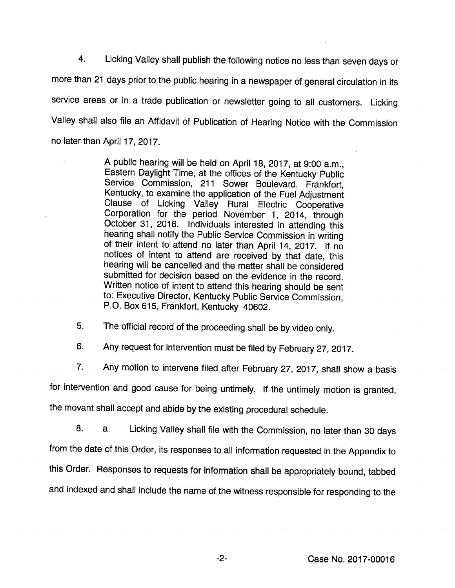4. Licking Valley shall publish the following notice no lessthan seven days or more than 21 days prior to the public hearing in a newspaper of general circulation in its service areas or in a trade publication or newsletter going to all customers. Licking Valley shall also file an Affidavit of Publication of Hearing Notice with the Commission no later than April 17, 2017.

> A public hearing will be held on April 18, 2017, at 9:00 a.m.. Eastern Daylight Time, at the offices of the Kentucky Public Service Commission, 211 Sower Boulevard, Frankfort, Kentucky, to examine the application of the Fuel Adjustment Clause of Licking Valley Rural Electric Cooperative Corporation for the period November 1, 2014, through October 31, 2016. Individuals interested in attending this hearing shall notify the Public Service Commission in writing of their intent to attend no later than April 14, 2017. If no notices of intent to attend are received by that date, this hearing will be cancelled and the matter shall be considered submitted for decision based on the evidence in the record. Written notice of intent to attend this hearing should be sent to: Executive Director, Kentucky Public Service Commission, P.O. Box 615, Frankfort, Kentucky 40602.

5. The official record of the proceeding shall be by video only.

6. Any request for intervention must be filed by February 27, 2017.

7. Any motion to intervene filed after February 27, 2017, shall show a basis

for intervention and good cause for being untimely. If the untimely motion is granted,

the movant shall accept and abide by the existing procedural schedule.

8. a. Licking Valley shall file with the Commission, no later than 30 days from the date of this Order, its responses to all information requested in the Appendix to this Order. Responses to requests for information shall be appropriately bound, tabbed and indexed and shall include the name of the witness responsible for responding to the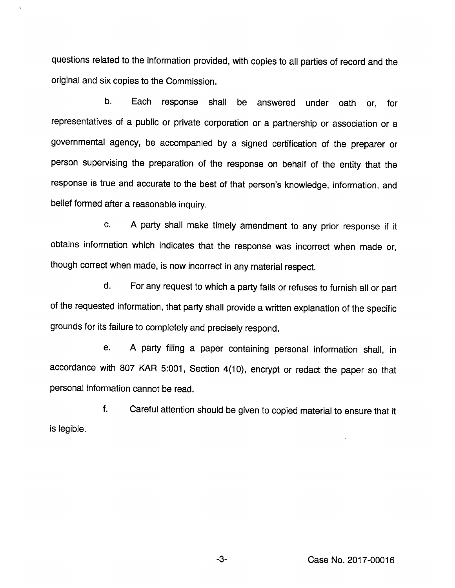questions related to the information provided, with copies to all parties of record and the original and six copies to the Commission.

 $\lambda$ 

b. Each response shall be answered under oath or, for representatives of a public or private corporation or a partnership or association or a governmental agency, be accompanied by a signed certification of the preparer or person supervising the preparation of the response on behalf of the entity that the response is true and accurate to the best of that person's knowledge, information, and belief formed after a reasonable inquiry.

c. A party shall make timely amendment to any prior response if it obtains information which indicates that the response was incorrect when made or, though correct when made, is now incorrect in any material respect.

d. For any request to which a party falls or refuses to furnish all or part of the requested information, that party shall provide a written explanation of the specific grounds for its failure to completely and precisely respond.

e. A party filing a paper containing personal information shall, in accordance with 807 KAR 5:001, Section 4(10), encrypt or redact the paper so that personal information cannot be read.

f. Careful attention should be given to copied material to ensure that it is legible.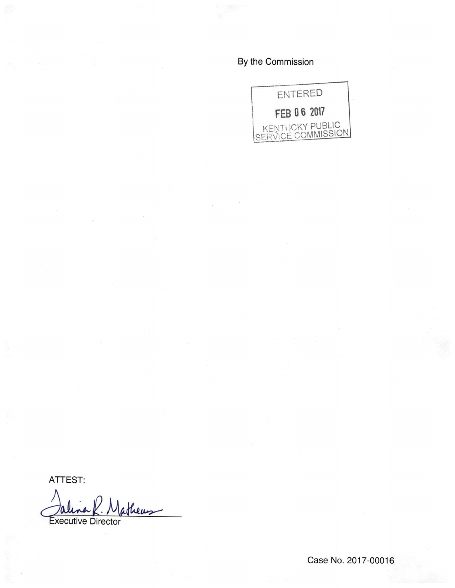By the Commission



ATTEST:

Jalina K. Matheus Q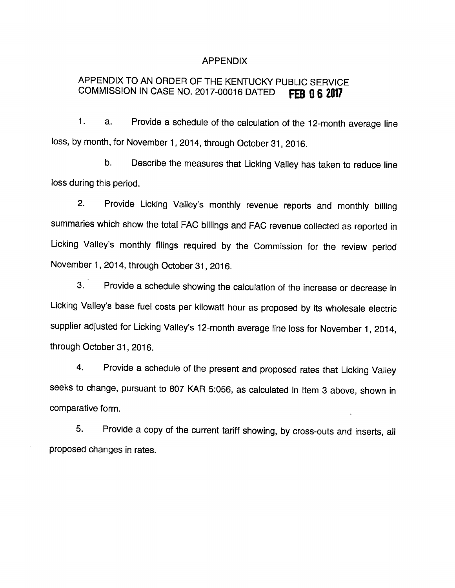#### APPENDIX

# APPENDIX TO AN ORDER OF THE KENTUCKY PUBLIC SERVICE COMMISSION IN CASE NO. 2017-00016 DATED FEB 0 6 2017

1. a. Provide a schedule of the calculation of the 12-month average line loss, by month, for November 1, 2014, through October 31, 2016.

b. Describe the measures that Licking Valley has taken to reduce line loss during this period.

2. Provide Licking Valley's monthly revenue reports and monthly billing summaries which show the total FAC billings and FAC revenue collected as reported in Licking Vailey's monthly filings required by the Commission for the review period November 1, 2014, through October 31, 2016.

3. Provide a schedule showing the calculation of the increase or decrease in Licking Valley's base fuel costs per kilowatt hour as proposed by its wholesale electric supplier adjusted for Licking Valley's 12-month average line loss for November 1, 2014, through October 31, 2016.

4. Provide a schedule of the present and proposed rates that Licking Valley seeks to change, pursuant to 807 KAR 5:056, as calculated in Item 3 above, shown in comparative form.

5. Provide a copy of the current tariff showing, by cross-outs and inserts, all proposed changes in rates.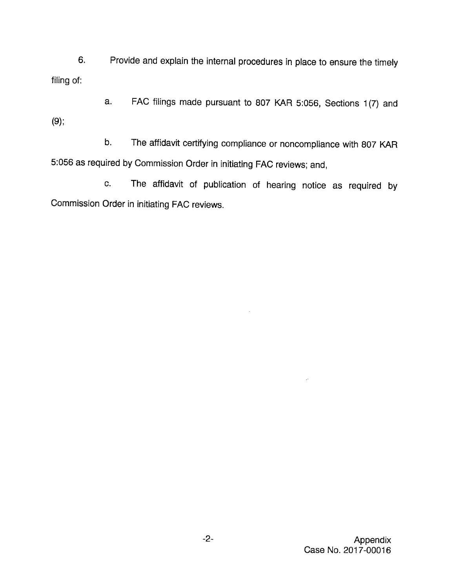6. Provide and explain the internal procedures in place to ensure the timely filing of:

a. FAC filings made pursuant to 807 KAR 5:056, Sections 1(7) and (9);

b. The affidavit certifying compliance or noncompliance with 807 KAR 5:056 as required byCommission Order in initiating FAC reviews; and,

c. The affidavit of publication of hearing notice as required by Commission Order in initiating FAC reviews.